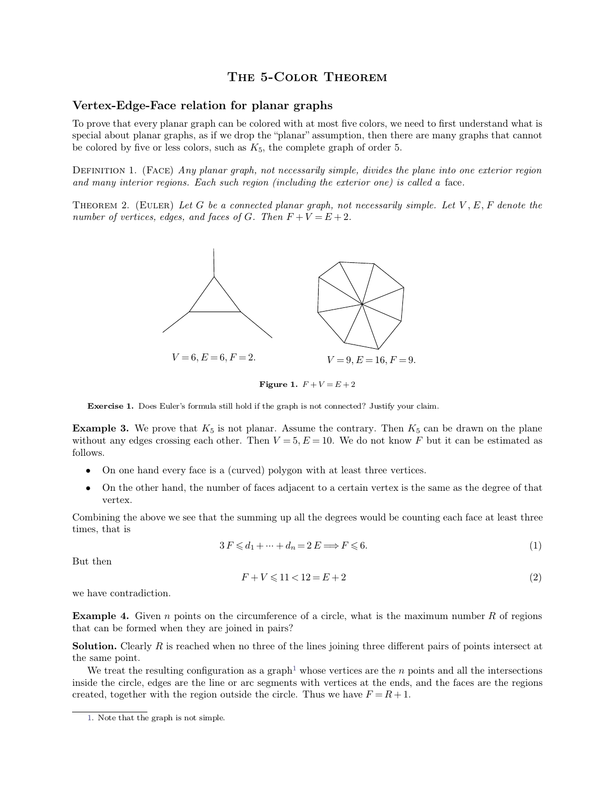## THE 5-COLOR THEOREM<br>for planar graphs

**THE 5-COLOR THEORI**<br> **Vertex-Edge-Face relation for planar graphs**<br>
To prove that every planar graph can be colored with at most five colored with a through the set of my straight and the "straight" THE 5-COLOR THEOREM<br>Vertex-Edge-Face relation for planar graphs<br>To prove that every planar graph can be colored with at most five colors, we need to first understand what is<br>special about planar graphs, as if we drop the " **SPECI ASSOCE THEOREM**<br>**Special about planar graph can be colored with at most five colors, we need to first understand what is<br>special about planar graphs, as if we drop the "planar" assumption, then there are many graph Vertex-Edge-Face relation for planar graphs**<br>To prove that every planar graph can be colored with at most five colors, we need to first understand what is<br>special about planar graphs, as if we drop the "planar" assumptio To prove that every planar graph can be colored with at most five colors, we need to first understand what is special about planar graphs, as if we drop the "planar" assumption, then there are many graphs that cannot be c To prove that every planar graph can be colored with at most five colors, we need to first understand what is<br>special about planar graphs, as if we drop the "planar" assumption, then there are many graphs that cannot<br>be c

**DEFINITION 1.** (FACE) Any planar graph, not necessarily simple, divides the plane into one exterior region and many interior regions. Each such region (including the exterior one) is called a face.<br>THEOREM 2. (EULER) Let



**Example 3.** We prove that  $K_5$  is not planar. Assume the contrary. Then  $K_5$  can be drawn on the plane without any edges crossing each other. Then  $V = 5$ ,  $E = 10$ . We do not know *F* but it can be estimated as **Exercise 1.** Does Euler's formula still hold if the graph is not connected? Justify your claim.<br>**Example 3.** We prove that  $K_5$  is not planar. Assume the contrary. Then  $K_5$  can be drawn on the plane without any edges follows. **EXECUTE: ONE DEAT EVERTHE IS CONTROLLATED IN THE ATT ATTEM STATE ATTEM STATE ATTEM STATE ATTEM STATE ATTEM ONE ATTEM ONE ATTEM ONE ATTEM ONE ATTEM ONE ATTEM ONE ATTEM ONE ATTEM ONE ATTEM ONE A** 

- 
- vertex. • On one hand every face is a (curved) polygon with at least three vertices.<br>• On the other hand, the number of faces adjacent to a certain vertex is the same as the degree of that vertex.<br>Combining the above we see that t

• On one hand  $\epsilon$ <br>• On the other here vertex.<br>Combining the above times, that is mber of faces adjacent to a certain vertex is the same as the degree of that<br>the summing up all the degrees would be counting each face at least three<br> $3 F \leq d_1 + \dots + d_n = 2 E \Longrightarrow F \leq 6.$  (1) vertex.<br>Combining the abe<br>times, that is<br>But then  $\leq d_1 + \dots + d_n = 2 E \Longrightarrow F \leq 6.$  (1)<br>  $F + V \leq 11 < 12 = E + 2$  (2)

$$
3F \leq d_1 + \dots + d_n = 2E \Longrightarrow F \leq 6. \tag{1}
$$

<span id="page-0-0"></span>
$$
F + V \leqslant 11 < 12 = E + 2\tag{2}
$$

But then<br>we have contradiction.

**Example 4.** Given *n* points on the circumference of a circle, what is the maximum number *R* of regions that can be formed when they are joined in pairs?  $F + V \le 11 < 12 = E$ <br> **Example 4.** Given *n* points on the circumference of a circutat can be formed when they are joined in pairs?<br> **Solution.** Clearly *R* is reached when no three of the lines **Example 4.** Given *n* points on the circumference of a circle, what is the maximum number  $R$  of regions that can be formed when they are joined in pairs?<br>**Solution.** Clearly  $R$  is reached when no three of the lines joi **Example 4.** Given<br>that can be formed<br>**Solution.** Clearly *F*<br>the same point. We treat the resu

**ample 4.** Given *n* points on the circumference of a circle, what is the maximum number *R* of regions t can be formed when they are joined in pairs?<br> **ution.** Clearly *R* is reached when no three of the lines joining th **Solution.** Clearly *R* is reached when no three of the lines joining three different pairs of points intersect at the same point.<br>We treat the resulting configuration as a graph<sup>1</sup> whose vertices are the *n* points and a **Solution.** Clearly *R* is reached when no three of the lines joining three different pairs of the same point.<br>We treat the resulting configuration as a graph<sup>1</sup> whose vertices are the *n* points and inside the circle, ed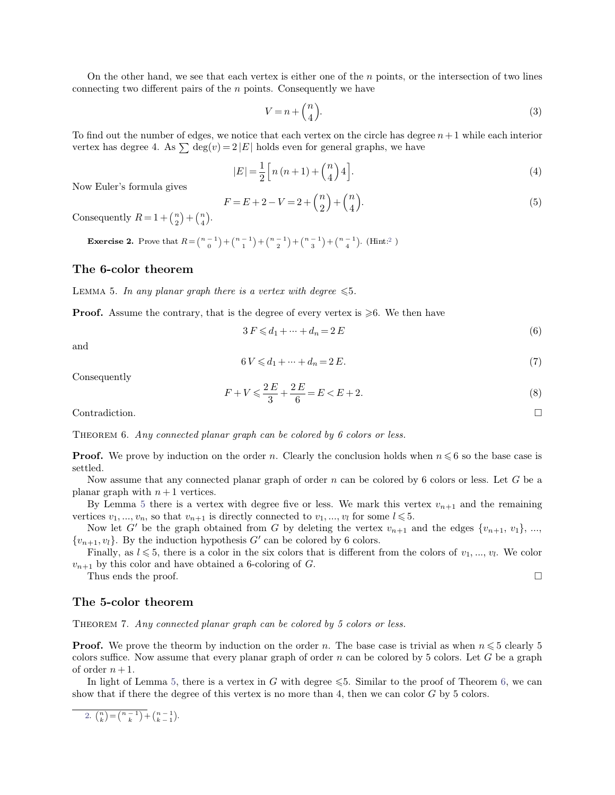On the other hand, we see that each vertex is either one of the *<sup>n</sup>* points, or the intersection of two lines connecting two different pairs of the  $n$  points. Consequently we have

$$
V = n + \binom{n}{4}.\tag{3}
$$

On the other hand, we see that each vertex is either one of the *n* points, or the intersection of two lines<br>connecting two different pairs of the *n* points. Consequently we have<br> $V = n + {n \choose 4}$ . (3)<br>To find out the number connecting two different pairs of the *n* points. Consequently we have<br>  $V = n + {n \choose 4}$ .<br>
To find out the number of edges, we notice that each vertex on the circle has degree  $n + 1$ <br>
vertex has degree 4. As  $\sum \deg(v) = 2 |E|$  h To find out the number of edges,<br>vertex has degree 4. As  $\sum$  deg $(v$ <br>Now Euler's formula gives

$$
V = n + \binom{4}{4}
$$
  
notice that each vertex on the circle has degree  $n + 1$  while each interior  

$$
2|E|
$$
 holds even for general graphs, we have  

$$
|E| = \frac{1}{2} \left[ n(n+1) + \binom{n}{4} 4 \right].
$$
 (4)

$$
= 2|E|
$$
 holds even for general graphs, we have  
\n
$$
|E| = \frac{1}{2} \Big[ n(n+1) + {n \choose 4} 4 \Big].
$$
\n
$$
F = E + 2 - V = 2 + {n \choose 2} + {n \choose 4}.
$$
\n(5)

Now Euler's formula gives<br>Consequently  $R = 1 + {n \choose 2} + {n \choose 4}$ .<br>Exercise 2. Prove that  $R = {n-1 \choose 2}$  $\binom{n}{2} + \binom{n}{4}.$ 

**EXECUTE:**  $F = 1 + {n \choose 2} + {n \choose 4}.$ <br>**Exercise 2.** Prove that  $R = {n-1 \choose 0} + {n \choose 1}$  ${n-1 \choose 0} + {n-1 \choose 1} + {n-1 \choose 2} + {n-1 \choose 3} + {n-1 \choose 4}$ . (Hint:<sup>2</sup>  $F = E + 2 - V = 2 + {n \choose 2} + {n \choose 4}.$ <br>Consequently  $R = 1 + {n \choose 2} + {n \choose 4}.$ <br>Exercise 2. Prove that  $R = {n-1 \choose 0} + {n-1 \choose 1} + {n-1 \choose 2} + {n-1 \choose 3} + {n-1 \choose 4}.$  (Hint:<sup>2</sup>)<br>The 6-color theorem<br>LEMMA 5. In any planar graph there is a vertex **Exercise 2.** Prove that  $R = \binom{n-1}{0} + \binom{n-1}{1} + \binom{n-1}{2} + \binom{n-1}{3} + \binom{n-1}{4}$ . (Hint:<sup>2</sup>)<br> **The 6-color theorem**<br>
LEMMA 5. *In any planar graph there is a vertex with degree*  $\leq 5$ .<br> **Proof.** Assume the contrary, that

<span id="page-1-0"></span>

<span id="page-1-2"></span>is a vertex with degree 
$$
\leq 5
$$
.  
\nthe degree of every vertex is  $\geq 6$ . We then have  
\n $3 F \leq d_1 + \dots + d_n = 2 E$  (6)

and

the degree of every vertex is 
$$
\geqslant 6
$$
. We then have  
\n $3 F \leqslant d_1 + \dots + d_n = 2 E$  (6)  
\n $6 V \leqslant d_1 + \dots + d_n = 2 E$ . (7)

Consequently

$$
6V \le d_1 + \dots + d_n = 2E.
$$
  
(7)  

$$
F + V \le \frac{2E}{3} + \frac{2E}{6} = E < E + 2.
$$
  
(8)

<span id="page-1-1"></span>Contradiction. □

Contradiction.<br>THEOREM 6. *Any connected planar graph can be colored by 6 colors or less.* 

**Proof.** We prove by induction on the order *n*. Clearly the conclusion holds when  $n \le 6$  so the base case is settled. settled. THEOREM6. *Any connected planar g*<br> **Proof.** We prove by induction on the<br>
settled.<br>
Now assume that any connected p<br>
planar graph with  $n + 1$  vertices.<br>
By Lemma 5 there is a vertex with<br>
vertices  $y_n = y_n$  so that  $y_n = \frac$ **boof.** We prove by induction on the order *n*. Clearly the conclusion holds when  $n \le 6$  so the base case is led.<br>Now assume that any connected planar graph of order *n* can be colored by 6 colors or less. Let *G* be a n

Now assume that any connected planar graph of order *n* can be colored by 6 colors or less. Let *G* be a planar graph with  $n+1$  vertices. **Proof.** We prove by induction on the order *n*. Clearly the conclusion holds when  $n \le 6$  so the base case is settled.<br>
Now assume that any connected planar graph of order *n* can be colored by 6 colors or less. Let *G*

finally, as *l*  $k \leq 5$ , there is a color in the six colors that is vertex  $v_{n+1}$  and the remaining tices  $v_1, ..., v_n$ , so that  $v_{n+1}$  is directly connected to  $v_1, ..., v_l$  for some  $l \leq 5$ .<br>Now let *G'* be the graph obta

*By* Lemma 5 there is a vertex with degree five or less. We mark this vertex  $v_{n+1}$  and the remaining vertices  $v_1, ..., v_n$ , so that  $v_{n+1}$  is directly connected to  $v_1, ..., v_l$  for some  $l \le 5$ .<br>Now let *G'* be the graph o Now let  $G'$  be the graph obtained from  $G$  by deleting the vertex  $v_{n+1}$  and the edges  $\{v_{n+1}, v_1\}$ , ...,  $\{v_{n+1}, v_l\}$ . By the induction hypothesis  $G'$  can be colored by 6 colors.<br>Finally, as  $l \le 5$ , there is a

THEOREM 7. *Any connected planar graph can be colored by 5 colors or less.*<br>**Proof.** We prove the theorm by induction on the order *n*. The base case is trivial as when  $n \le 5$  clearly 5 **Proof.** We prove the theorm by induction on the order *n*. The base case is trivial as when  $n \leq 5$  clearly 5 colors suffice. Now assume that every planar graph of order *n* can be colored by 5 colors. Let *G* be a grap **The 5-color theorem**<br>THEOREM 7. Any connected planar graph can be colored by 5 colors or less.<br>**Proof.** We prove the theorm by induction on the order *n*. The base case is trivial as when  $n \le 5$  clearly 5 colors suffice THEOREM7. Any connected planar graph can be colored by 5 colors or less.<br> **Proof.** We prove the theorm by induction on the order *n*. The base case is trivial as when  $n \le 5$  clearly 5 colors suffice. Now assume that eve **Proof.** We prove the theorm by induction on the order *n*. The base case is trivial as when  $n \le 5$  colors suffice. Now assume that every planar graph of order *n* can be colored by 5 colors. Let *G* be of order  $n + 1$ .

2. 
$$
\binom{n}{k} = \binom{n-1}{k} + \binom{n-1}{k-1}
$$
.